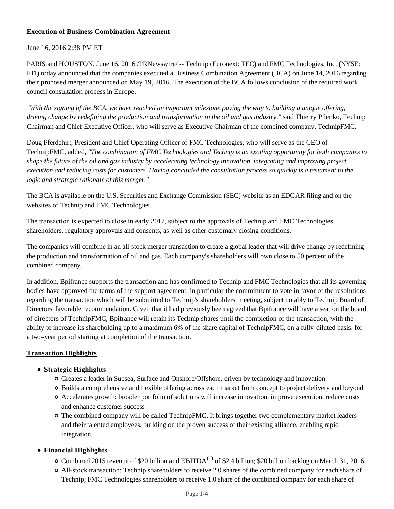## **Execution of Business Combination Agreement**

June 16, 2016 2:38 PM ET

PARIS and HOUSTON, June 16, 2016 /PRNewswire/ -- Technip (Euronext: TEC) and FMC Technologies, Inc. (NYSE: FTI) today announced that the companies executed a Business Combination Agreement (BCA) on June 14, 2016 regarding their proposed merger announced on May 19, 2016. The execution of the BCA follows conclusion of the required work council consultation process in Europe.

*"With the signing of the BCA, we have reached an important milestone paving the way to building a unique offering, driving change by redefining the production and transformation in the oil and gas industry,"* said Thierry Pilenko, Technip Chairman and Chief Executive Officer, who will serve as Executive Chairman of the combined company, TechnipFMC.

Doug Pferdehirt, President and Chief Operating Officer of FMC Technologies, who will serve as the CEO of TechnipFMC, added, *"The combination of FMC Technologies and Technip is an exciting opportunity for both companies to shape the future of the oil and gas industry by accelerating technology innovation, integrating and improving project execution and reducing costs for customers. Having concluded the consultation process so quickly is a testament to the logic and strategic rationale of this merger."*

The BCA is available on the U.S. Securities and Exchange Commission (SEC) website as an EDGAR filing and on the websites of Technip and FMC Technologies.

The transaction is expected to close in early 2017, subject to the approvals of Technip and FMC Technologies shareholders, regulatory approvals and consents, as well as other customary closing conditions.

The companies will combine in an all-stock merger transaction to create a global leader that will drive change by redefining the production and transformation of oil and gas. Each company's shareholders will own close to 50 percent of the combined company.

In addition, Bpifrance supports the transaction and has confirmed to Technip and FMC Technologies that all its governing bodies have approved the terms of the support agreement, in particular the commitment to vote in favor of the resolutions regarding the transaction which will be submitted to Technip's shareholders' meeting, subject notably to Technip Board of Directors' favorable recommendation. Given that it had previously been agreed that Bpifrance will have a seat on the board of directors of TechnipFMC, Bpifrance will retain its Technip shares until the completion of the transaction, with the ability to increase its shareholding up to a maximum 6% of the share capital of TechnipFMC, on a fully-diluted basis, for a two-year period starting at completion of the transaction.

# **Transaction Highlights**

# **Strategic Highlights**

- Creates a leader in Subsea, Surface and Onshore/Offshore, driven by technology and innovation
- Builds a comprehensive and flexible offering across each market from concept to project delivery and beyond
- Accelerates growth: broader portfolio of solutions will increase innovation, improve execution, reduce costs and enhance customer success
- The combined company will be called TechnipFMC. It brings together two complementary market leaders and their talented employees, building on the proven success of their existing alliance, enabling rapid integration.

# **Financial Highlights**

- $\circ$  Combined 2015 revenue of \$20 billion and EBITDA<sup>(1)</sup> of \$2.4 billion; \$20 billion backlog on March 31, 2016
- All-stock transaction: Technip shareholders to receive 2.0 shares of the combined company for each share of Technip; FMC Technologies shareholders to receive 1.0 share of the combined company for each share of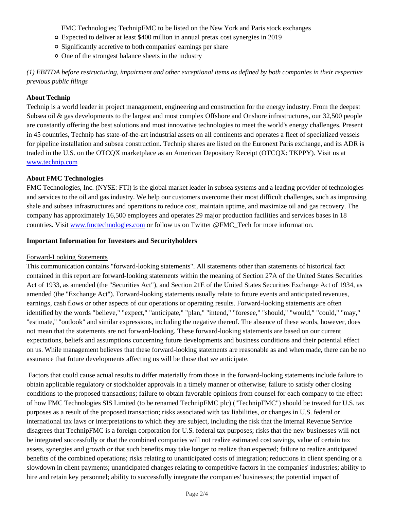FMC Technologies; TechnipFMC to be listed on the New York and Paris stock exchanges

- Expected to deliver at least \$400 million in annual pretax cost synergies in 2019
- Significantly accretive to both companies' earnings per share
- One of the strongest balance sheets in the industry

*(1) EBITDA before restructuring, impairment and other exceptional items as defined by both companies in their respective previous public filings*

## **About Technip**

Technip is a world leader in project management, engineering and construction for the energy industry. From the deepest Subsea oil & gas developments to the largest and most complex Offshore and Onshore infrastructures, our 32,500 people are constantly offering the best solutions and most innovative technologies to meet the world's energy challenges. Present in 45 countries, Technip has state-of-the-art industrial assets on all continents and operates a fleet of specialized vessels for pipeline installation and subsea construction. Technip shares are listed on the Euronext Paris exchange, and its ADR is traded in the U.S. on the OTCQX marketplace as an American Depositary Receipt (OTCQX: TKPPY). Visit us at www.technip.com

## **About FMC Technologies**

FMC Technologies, Inc. (NYSE: FTI) is the global market leader in subsea systems and a leading provider of technologies and services to the oil and gas industry. We help our customers overcome their most difficult challenges, such as improving shale and subsea infrastructures and operations to reduce cost, maintain uptime, and maximize oil and gas recovery. The company has approximately 16,500 employees and operates 29 major production facilities and services bases in 18 countries. Visit www.fmctechnologies.com or follow us on Twitter @FMC\_Tech for more information.

#### **Important Information for Investors and Securityholders**

#### Forward-Looking Statements

This communication contains "forward-looking statements". All statements other than statements of historical fact contained in this report are forward-looking statements within the meaning of Section 27A of the United States Securities Act of 1933, as amended (the "Securities Act"), and Section 21E of the United States Securities Exchange Act of 1934, as amended (the "Exchange Act"). Forward-looking statements usually relate to future events and anticipated revenues, earnings, cash flows or other aspects of our operations or operating results. Forward-looking statements are often identified by the words "believe," "expect," "anticipate," "plan," "intend," "foresee," "should," "would," "could," "may," "estimate," "outlook" and similar expressions, including the negative thereof. The absence of these words, however, does not mean that the statements are not forward-looking. These forward-looking statements are based on our current expectations, beliefs and assumptions concerning future developments and business conditions and their potential effect on us. While management believes that these forward-looking statements are reasonable as and when made, there can be no assurance that future developments affecting us will be those that we anticipate.

 Factors that could cause actual results to differ materially from those in the forward-looking statements include failure to obtain applicable regulatory or stockholder approvals in a timely manner or otherwise; failure to satisfy other closing conditions to the proposed transactions; failure to obtain favorable opinions from counsel for each company to the effect of how FMC Technologies SIS Limited (to be renamed TechnipFMC plc) ("TechnipFMC") should be treated for U.S. tax purposes as a result of the proposed transaction; risks associated with tax liabilities, or changes in U.S. federal or international tax laws or interpretations to which they are subject, including the risk that the Internal Revenue Service disagrees that TechnipFMC is a foreign corporation for U.S. federal tax purposes; risks that the new businesses will not be integrated successfully or that the combined companies will not realize estimated cost savings, value of certain tax assets, synergies and growth or that such benefits may take longer to realize than expected; failure to realize anticipated benefits of the combined operations; risks relating to unanticipated costs of integration; reductions in client spending or a slowdown in client payments; unanticipated changes relating to competitive factors in the companies' industries; ability to hire and retain key personnel; ability to successfully integrate the companies' businesses; the potential impact of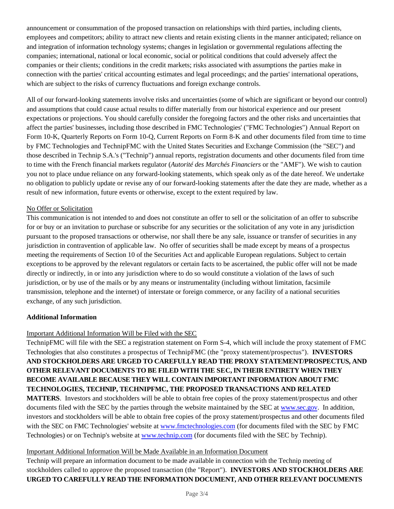announcement or consummation of the proposed transaction on relationships with third parties, including clients, employees and competitors; ability to attract new clients and retain existing clients in the manner anticipated; reliance on and integration of information technology systems; changes in legislation or governmental regulations affecting the companies; international, national or local economic, social or political conditions that could adversely affect the companies or their clients; conditions in the credit markets; risks associated with assumptions the parties make in connection with the parties' critical accounting estimates and legal proceedings; and the parties' international operations, which are subject to the risks of currency fluctuations and foreign exchange controls.

All of our forward-looking statements involve risks and uncertainties (some of which are significant or beyond our control) and assumptions that could cause actual results to differ materially from our historical experience and our present expectations or projections. You should carefully consider the foregoing factors and the other risks and uncertainties that affect the parties' businesses, including those described in FMC Technologies' ("FMC Technologies") Annual Report on Form 10-K, Quarterly Reports on Form 10-Q, Current Reports on Form 8-K and other documents filed from time to time by FMC Technologies and TechnipFMC with the United States Securities and Exchange Commission (the "SEC") and those described in Technip S.A.'s ("Technip") annual reports, registration documents and other documents filed from time to time with the French financial markets regulator (*Autorité des Marchés Financiers* or the "AMF"). We wish to caution you not to place undue reliance on any forward-looking statements, which speak only as of the date hereof. We undertake no obligation to publicly update or revise any of our forward-looking statements after the date they are made, whether as a result of new information, future events or otherwise, except to the extent required by law.

## No Offer or Solicitation

This communication is not intended to and does not constitute an offer to sell or the solicitation of an offer to subscribe for or buy or an invitation to purchase or subscribe for any securities or the solicitation of any vote in any jurisdiction pursuant to the proposed transactions or otherwise, nor shall there be any sale, issuance or transfer of securities in any jurisdiction in contravention of applicable law. No offer of securities shall be made except by means of a prospectus meeting the requirements of Section 10 of the Securities Act and applicable European regulations. Subject to certain exceptions to be approved by the relevant regulators or certain facts to be ascertained, the public offer will not be made directly or indirectly, in or into any jurisdiction where to do so would constitute a violation of the laws of such jurisdiction, or by use of the mails or by any means or instrumentality (including without limitation, facsimile transmission, telephone and the internet) of interstate or foreign commerce, or any facility of a national securities exchange, of any such jurisdiction.

#### **Additional Information**

# Important Additional Information Will be Filed with the SEC

TechnipFMC will file with the SEC a registration statement on Form S-4, which will include the proxy statement of FMC Technologies that also constitutes a prospectus of TechnipFMC (the "proxy statement/prospectus"). **INVESTORS AND STOCKHOLDERS ARE URGED TO CAREFULLY READ THE PROXY STATEMENT/PROSPECTUS, AND OTHER RELEVANT DOCUMENTS TO BE FILED WITH THE SEC, IN THEIR ENTIRETY WHEN THEY BECOME AVAILABLE BECAUSE THEY WILL CONTAIN IMPORTANT INFORMATION ABOUT FMC TECHNOLOGIES, TECHNIP, TECHNIPFMC, THE PROPOSED TRANSACTIONS AND RELATED MATTERS**. Investors and stockholders will be able to obtain free copies of the proxy statement/prospectus and other

documents filed with the SEC by the parties through the website maintained by the SEC at www.sec.gov. In addition, investors and stockholders will be able to obtain free copies of the proxy statement/prospectus and other documents filed with the SEC on FMC Technologies' website at www.fmctechnologies.com (for documents filed with the SEC by FMC Technologies) or on Technip's website at www.technip.com (for documents filed with the SEC by Technip).

#### Important Additional Information Will be Made Available in an Information Document

Technip will prepare an information document to be made available in connection with the Technip meeting of stockholders called to approve the proposed transaction (the "Report"). **INVESTORS AND STOCKHOLDERS ARE URGED TO CAREFULLY READ THE INFORMATION DOCUMENT, AND OTHER RELEVANT DOCUMENTS**